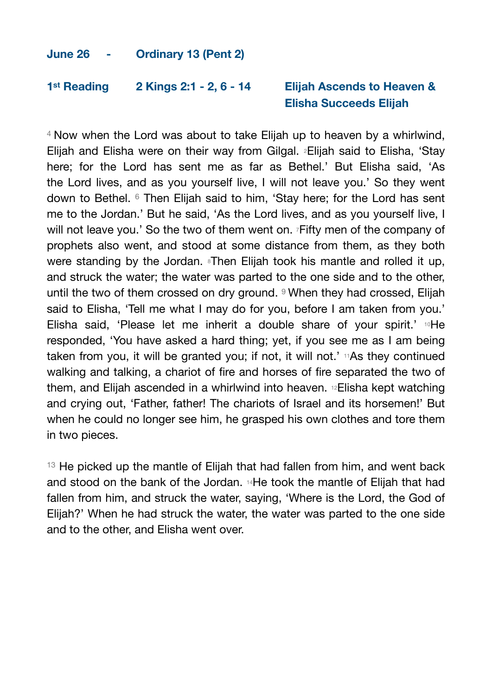## **June 26 - Ordinary 13 (Pent 2)**

## **1st Reading 2 Kings 2:1 - 2, 6 - 14 Elijah Ascends to Heaven & Elisha Succeeds Elijah**

4 Now when the Lord was about to take Elijah up to heaven by a whirlwind, Elijah and Elisha were on their way from Gilgal. 2Elijah said to Elisha, 'Stay here; for the Lord has sent me as far as Bethel.' But Elisha said, 'As the Lord lives, and as you yourself live, I will not leave you.' So they went down to Bethel. 6 Then Elijah said to him, 'Stay here; for the Lord has sent me to the Jordan.' But he said, 'As the Lord lives, and as you yourself live, I will not leave you.' So the two of them went on. Fifty men of the company of prophets also went, and stood at some distance from them, as they both were standing by the Jordan. <sup>8</sup>Then Elijah took his mantle and rolled it up, and struck the water; the water was parted to the one side and to the other, until the two of them crossed on dry ground. <sup>9</sup> When they had crossed. Elijah said to Elisha, 'Tell me what I may do for you, before I am taken from you.' Elisha said, 'Please let me inherit a double share of your spirit.' <sup>10</sup>He responded, 'You have asked a hard thing; yet, if you see me as I am being taken from you, it will be granted you; if not, it will not.' 11As they continued walking and talking, a chariot of fire and horses of fire separated the two of them, and Elijah ascended in a whirlwind into heaven. 12Elisha kept watching and crying out, 'Father, father! The chariots of Israel and its horsemen!' But when he could no longer see him, he grasped his own clothes and tore them in two pieces.

<sup>13</sup> He picked up the mantle of Elijah that had fallen from him, and went back and stood on the bank of the Jordan. 14He took the mantle of Elijah that had fallen from him, and struck the water, saying, 'Where is the Lord, the God of Elijah?' When he had struck the water, the water was parted to the one side and to the other, and Elisha went over.